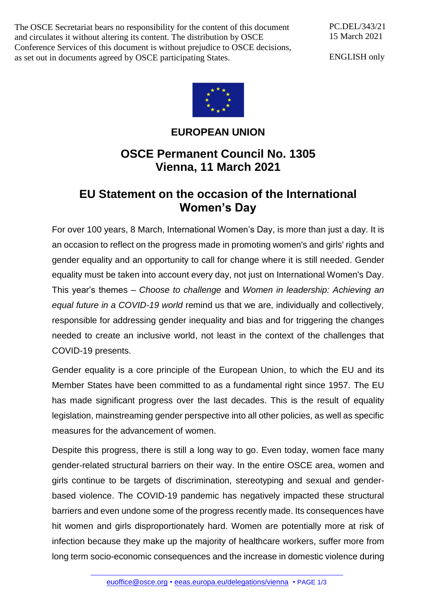The OSCE Secretariat bears no responsibility for the content of this document and circulates it without altering its content. The distribution by OSCE Conference Services of this document is without prejudice to OSCE decisions, as set out in documents agreed by OSCE participating States.

PC.DEL/343/21 15 March 2021

ENGLISH only



## **EUROPEAN UNION**

## **OSCE Permanent Council No. 1305 Vienna, 11 March 2021**

## **EU Statement on the occasion of the International Women's Day**

For over 100 years, 8 March, International Women's Day, is more than just a day. It is an occasion to reflect on the progress made in promoting women's and girls' rights and gender equality and an opportunity to call for change where it is still needed. Gender equality must be taken into account every day, not just on International Women's Day. This year's themes – *Choose to challenge* and *Women in leadership: Achieving an equal future in a COVID-19 world* remind us that we are, individually and collectively, responsible for addressing gender inequality and bias and for triggering the changes needed to create an inclusive world, not least in the context of the challenges that COVID-19 presents.

Gender equality is a core principle of the European Union, to which the EU and its Member States have been committed to as a fundamental right since 1957. The EU has made significant progress over the last decades. This is the result of equality legislation, mainstreaming gender perspective into all other policies, as well as specific measures for the advancement of women.

Despite this progress, there is still a long way to go. Even today, women face many gender-related structural barriers on their way. In the entire OSCE area, women and girls continue to be targets of discrimination, stereotyping and sexual and genderbased violence. The COVID-19 pandemic has negatively impacted these structural barriers and even undone some of the progress recently made. Its consequences have hit women and girls disproportionately hard. Women are potentially more at risk of infection because they make up the majority of healthcare workers, suffer more from long term socio-economic consequences and the increase in domestic violence during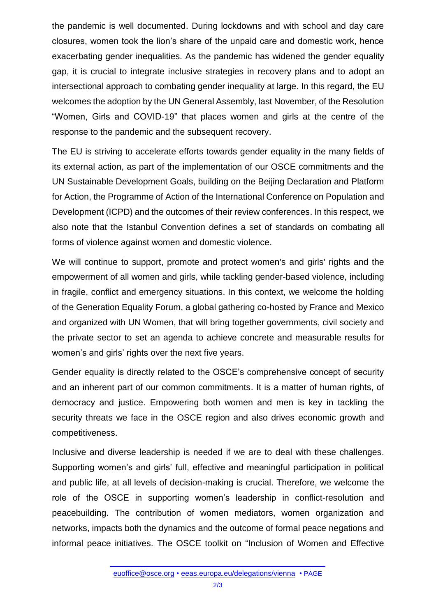the pandemic is well documented. During lockdowns and with school and day care closures, women took the lion's share of the unpaid care and domestic work, hence exacerbating gender inequalities. As the pandemic has widened the gender equality gap, it is crucial to integrate inclusive strategies in recovery plans and to adopt an intersectional approach to combating gender inequality at large. In this regard, the EU welcomes the adoption by the UN General Assembly, last November, of the Resolution "Women, Girls and COVID-19" that places women and girls at the centre of the response to the pandemic and the subsequent recovery.

The EU is striving to accelerate efforts towards gender equality in the many fields of its external action, as part of the implementation of our OSCE commitments and the UN Sustainable Development Goals, building on the Beijing Declaration and Platform for Action, the Programme of Action of the International Conference on Population and Development (ICPD) and the outcomes of their review conferences. In this respect, we also note that the Istanbul Convention defines a set of standards on combating all forms of violence against women and domestic violence.

We will continue to support, promote and protect women's and girls' rights and the empowerment of all women and girls, while tackling gender-based violence, including in fragile, conflict and emergency situations. In this context, we welcome the holding of the Generation Equality Forum, a global gathering co-hosted by France and Mexico and organized with UN Women, that will bring together governments, civil society and the private sector to set an agenda to achieve concrete and measurable results for women's and girls' rights over the next five years.

Gender equality is directly related to the OSCE's comprehensive concept of security and an inherent part of our common commitments. It is a matter of human rights, of democracy and justice. Empowering both women and men is key in tackling the security threats we face in the OSCE region and also drives economic growth and competitiveness.

Inclusive and diverse leadership is needed if we are to deal with these challenges. Supporting women's and girls' full, effective and meaningful participation in political and public life, at all levels of decision-making is crucial. Therefore, we welcome the role of the OSCE in supporting women's leadership in conflict-resolution and peacebuilding. The contribution of women mediators, women organization and networks, impacts both the dynamics and the outcome of formal peace negations and informal peace initiatives. The OSCE toolkit on "Inclusion of Women and Effective